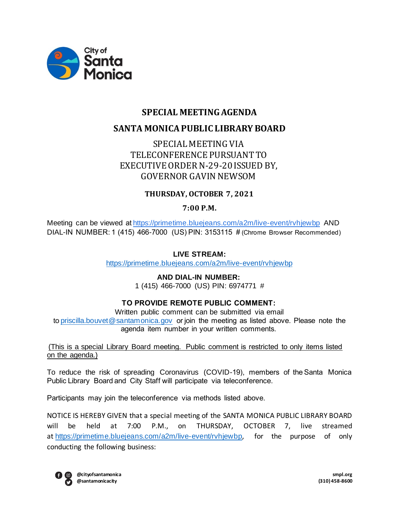

# **SPECIAL MEETING AGENDA SANTA MONICA PUBLIC LIBRARY BOARD**

## SPECIAL MEETING VIA TELECONFERENCE PURSUANT TO EXECUTIVE ORDER N-29-20 ISSUED BY, GOVERNOR GAVIN NEWSOM

## **THURSDAY, OCTOBER 7, 2021**

## **7:00 P.M.**

Meeting can be viewed at https://primetime.bluejeans.com/a2m/live-event/rvhjewbp AND DIAL-IN NUMBER: 1 (415) 466-7000 (US) PIN: 3153115 # (Chrome Browser Recommended) 

## **LIVE STREAM:**

https://primetime.bluejeans.com/a2m/live-event/rvhjewbp

### **AND DIAL-IN NUMBER:**

1 (415) 466-7000 (US) PIN: 6974771 #

### **TO PROVIDE REMOTE PUBLIC COMMENT:**

Written public comment can be submitted via email to priscilla.bouvet@santamonica.gov or join the meeting as listed above. Please note the agenda item number in your written comments. 

(This is a special Library Board meeting.  Public comment is restricted to only items listed on the agenda.)

To reduce the risk of spreading Coronavirus (COVID-19), members of the Santa Monica Public Library Board and City Staff will participate via teleconference.  

Participants may join the teleconference via methods listed above.  

NOTICE IS HEREBY GIVEN that a special meeting of the SANTA MONICA PUBLIC LIBRARY BOARD will be held at 7:00 P.M., on THURSDAY, OCTOBER 7, live streamed at https://primetime.bluejeans.com/a2m/live-event/rvhjewbp, for the purpose of only conducting the following business:

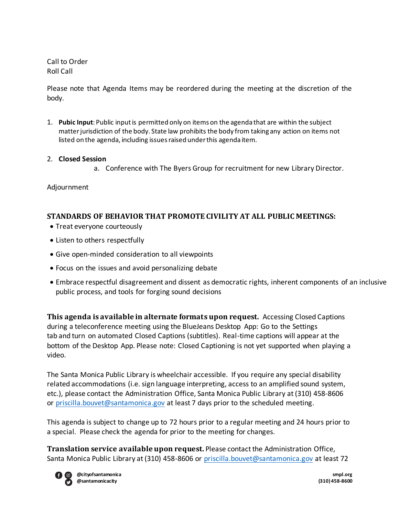Call to Order Roll Call

Please note that Agenda Items may be reordered during the meeting at the discretion of the body.

1. **Pubic Input**: Public input is permitted only on items on the agenda that are within the subject matter jurisdiction of the body. State law prohibits the body from taking any action on items not listed on the agenda, including issues raised under this agenda item.

#### 2. **Closed Session**

a. Conference with The Byers Group for recruitment for new Library Director.

Adjournment

### **STANDARDS OF BEHAVIOR THAT PROMOTE CIVILITY AT ALL PUBLIC MEETINGS:**

- Treat everyone courteously
- Listen to others respectfully
- Give open-minded consideration to all viewpoints
- Focus on the issues and avoid personalizing debate
- Embrace respectful disagreement and dissent as democratic rights, inherent components of an inclusive public process, and tools for forging sound decisions

**This agenda is available in alternate formats upon request.** Accessing Closed Captions during a teleconference meeting using the BlueJeans Desktop App: Go to the Settings tab and turn on automated Closed Captions (subtitles). Real-time captions will appear at the bottom of the Desktop App. Please note: Closed Captioning is not yet supported when playing a video.  

The Santa Monica Public Library is wheelchair accessible. If you require any special disability related accommodations (i.e. sign language interpreting, access to an amplified sound system, etc.), please contact the Administration Office, Santa Monica Public Library at (310) 458-8606 or priscilla.bouvet@santamonica.gov at least 7 days prior to the scheduled meeting.

This agenda is subject to change up to 72 hours prior to a regular meeting and 24 hours prior to a special. Please check the agenda for prior to the meeting for changes.

**Translation service available upon request.** Please contact the Administration Office, Santa Monica Public Library at (310) 458-8606 or priscilla.bouvet@santamonica.gov at least 72